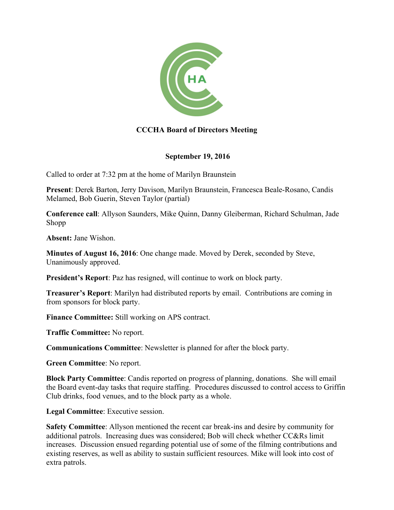

## **CCCHA Board of Directors Meeting**

## **September 19, 2016**

Called to order at 7:32 pm at the home of Marilyn Braunstein

**Present**: Derek Barton, Jerry Davison, Marilyn Braunstein, Francesca Beale-Rosano, Candis Melamed, Bob Guerin, Steven Taylor (partial)

**Conference call**: Allyson Saunders, Mike Quinn, Danny Gleiberman, Richard Schulman, Jade Shopp

**Absent:** Jane Wishon.

**Minutes of August 16, 2016**: One change made. Moved by Derek, seconded by Steve, Unanimously approved.

**President's Report**: Paz has resigned, will continue to work on block party.

**Treasurer's Report**: Marilyn had distributed reports by email. Contributions are coming in from sponsors for block party.

**Finance Committee:** Still working on APS contract.

**Traffic Committee:** No report.

**Communications Committee**: Newsletter is planned for after the block party.

**Green Committee**: No report.

**Block Party Committee**: Candis reported on progress of planning, donations. She will email the Board event-day tasks that require staffing. Procedures discussed to control access to Griffin Club drinks, food venues, and to the block party as a whole.

**Legal Committee**: Executive session.

**Safety Committee**: Allyson mentioned the recent car break-ins and desire by community for additional patrols. Increasing dues was considered; Bob will check whether CC&Rs limit increases. Discussion ensued regarding potential use of some of the filming contributions and existing reserves, as well as ability to sustain sufficient resources. Mike will look into cost of extra patrols.